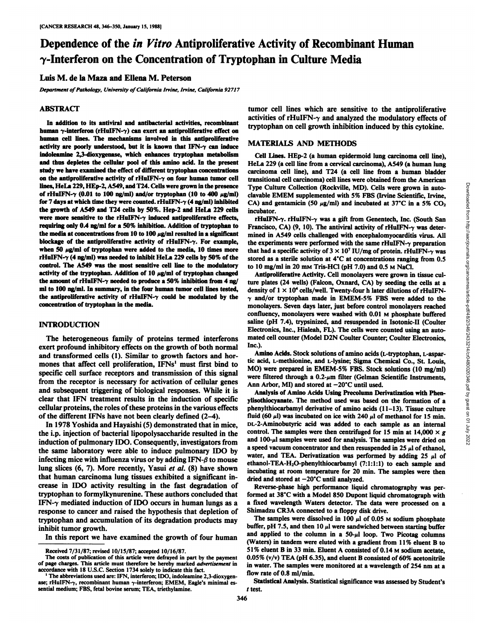# Dependence of the in Vitro Antiproliferative Activity of Recombinant Human 7-Interferon on the Concentration of Tryptophan in Culture Media

## Luis M. de la Maza and Ellena M. Peterson

*Department of Pathology, University ofCalifornia Irvine, Irvine, California 92717*

#### **ABSTRACT**

In addition to its antiviral and antibacterial activities, recombinant human  $\gamma$ -interferon (rHuIFN- $\gamma$ ) can exert an antiproliferative effect on human cell lines. The mechanisms involved in this antiproliferative activity are poorly understood, but it is known that  $IFN-\gamma$  can induce indoleamine 2,3-dioxygenase, which enhances tryptophan metabolism and thus depletes the cellular pool of this amino acid. In the present study we have examined the effect of different tryptophan concentrations on the antiproliferative activity of  $rHuIFN-\gamma$  on four human tumor cell lines, HeLa 229, HEp-2, A549, and T24. Cells were grown in the presence of rHuIFN- $\gamma$  (0.01 to 100 ng/ml) and/or tryptophan (10 to 400  $\mu$ g/ml) for 7 days at which time they were counted. rHuIFN- $\gamma$  (4 ng/ml) inhibited CA) and gentamicin (50 µg/ml) and incubated at 37°C in a 5% CO<sub>2</sub> the growth of A549 and T24 cells by 50%. Hep-2 and HeLa 229 cells were more sensitive to the rHuIFN- $\gamma$  induced antiproliferative effects, requiring only 0.4 ng/ml for a 50% inhibition. Addition of tryptophan to the media at concentrations from 10 to 100  $\mu$ g/ml resulted in a significant blockage of the antiproliferative activity of rHuIFN-7. For example, when 50  $\mu$ g/ml of tryptophan were added to the media, 10 times more rHuIFN- $\gamma$  (4 ng/ml) was needed to inhibit HeLa 229 cells by 50% of the control. The A549 was the most sensitive cell line to the modulatory activity of the tryptophan. Addition of  $10 \mu g/ml$  of tryptophan changed the amount of rHuIFN- $\gamma$  needed to produce a 50% inhibition from 4 ng/ ml to 100 ng/ml. In summary, in the four human tumor cell lines tested, density of  $1 \times 10^4$  cells/well. Twenty-four h later dilutions of rHuIFNthe antiproliferative activity of rHuIFN- $\gamma$  could be modulated by the concentration of tryptophan in the media.

## **INTRODUCTION**

The heterogeneous family of proteins termed interférons exert profound inhibitory effects on the growth of both normal and transformed cells (1). Similar to growth factors and hor-mones that affect cell proliferation,  $IFNs<sup>1</sup>$  must first bind to specific cell surface receptors and transmission of this signal from the receptor is necessary for activation of cellular genes and subsequent triggering of biological responses. While it is clear that IFN treatment results in the induction of specific cellular proteins, the roles of these proteins in the various effects of the different IFNs have not been clearly defined (2-4).

In 1978 Yoshida and Hayaishi (5) demonstrated that in mice, the i.p. injection of bacterial lipopolysaccharide resulted in the induction of pulmonary IDO. Consequently, investigators from the same laboratory were able to induce pulmonary IDO by infecting mice with influenza virus or by adding IFN- $\beta$  to mouse lung slices (6, 7). More recently, Yasui et al. (8) have shown that human carcinoma lung tissues exhibited a significant in crease in IDO activity resulting in the fast degradation of tryptophan to formylkynurenine. These authors concluded that IFN- $\gamma$  mediated induction of IDO occurs in human lungs as a response to cancer and raised the hypothesis that depletion of tryptophan and accumulation of its degradation products may inhibit tumor growth.

In this report we have examined the growth of four human

tumor cell lines which are sensitive to the antiproliferative activities of rHuIFN- $\gamma$  and analyzed the modulatory effects of tryptophan on cell growth inhibition induced by this cytokine.

## **MATERIALS AND METHODS**

Cell Lines. HEp-2 (a human epidermoid lung carcinoma cell line), HeLa 229 (a cell line from a cervical carcinoma), A549 (a human lung carcinoma cell line), and T24 (a cell line from a human bladder Type Culture Collection (Rockville, MD). Cells were grown in auto clavable EMEM supplemented with 5% FBS (Irvine Scientific, Irvine, incubator.

rHuIFN- $\gamma$ . rHuIFN- $\gamma$  was a gift from Genentech, Inc. (South San Francisco, CA) (9, 10). The antiviral activity of rHuIFN- $\gamma$  was determined in A549 cells challenged with encephalomyocarditis virus. All the experiments were performed with the same rHuIFN- $\gamma$  preparation that had a specific activity of  $3 \times 10^7$  IU/mg of protein. rHuIFN- $\gamma$  was stored as a sterile solution at  $4^{\circ}$ C at concentrations ranging from 0.5 to 10 mg/ml in 20 mm Tris-HCl (pH  $7.0$ ) and 0.5 m NaCl.

transitional ell carcinoma) cell lines were obtained from the American<br>Type Culture Collection (Rockville, MD). Cells were grown in auto-<br>clavable EMEM supplemented with 5% FBS (Irvine Scientific, Irvine,<br>claudator.<br>
reli Antiproliferative Activity. Cell monolayers were grown in tissue cul ture plates (24 wells) (Falcon, Oxnard, CA) by seeding the cells at a  $\gamma$  and/or tryptophan made in EMEM-5% FBS were added to the monolayers. Seven days later, just before control monolayers reached confluency, monolayers were washed with 0.01 M phosphate buffered saline (pH 7.4), trypsinized, and resuspended in Isotonic-II (Coulter Electronics, Inc., Hialeah, FL). The cells were counted using an auto mated cell counter (Model D2N Coulter Counter; Coulter Electronics, Inc.).

Amino Acids. Stock solutions of amino acids (L-tryptophan, L-aspartic acid, L-methionine, and L-lysine; Sigma Chemical Co., St. Louis, MO) were prepared in EMEM-5% FBS. Stock solutions (10 mg/ml) were filtered through a  $0.2$ - $\mu$ m filter (Gelman Scientific Instruments, Ann Arbor, MI) and stored at  $-20^{\circ}$ C until used.

Analysis of Amino Acids Using Precolumn Derivatization with Phenylisothiocyanate. The method used was based on the formation of a phenylthiocarbamyl derivative of amino acids (11-13). Tissue culture fluid (60  $\mu$ l) was incubated on ice with 240  $\mu$ l of methanol for 15 min. DL-2-Aminobutyric acid was added to each sample as an internal control. The samples were then centrifuged for 15 min at 14,000  $\times g$ and  $100$ - $\mu$ l samples were used for analysis. The samples were dried on a speed vacuum concentrator and then resuspended in 25  $\mu$ l of ethanol, water, and TEA. Derivatization was performed by adding 25  $\mu$ l of ethanol-TEA-H<sub>2</sub>O-phenylthiocarbamyl (7:1:1:1) to each sample and incubating at room temperature for 20 min. The samples were then dried and stored at  $-20^{\circ}$ C until analyzed.

Reverse-phase high performance liquid chromatography was per formed at 38°C with a Model 850 Dupont liquid chromatograph with a fixed wavelength Waters detector. The data were processed on a Shimadzu CR3A connected to a floppy disk drive.

The samples were dissolved in 100  $\mu$ l of 0.05 M sodium phosphate buffer, pH 7.5, and then 10  $\mu$ l were sandwiched between starting buffer and applied to the column in a  $50-\mu$  loop. Two Picotag columns (Waters) in tandem were eluted with a gradient from  $11\%$  eluent B to 51% eluent B in 33 min. Eluent A consisted of 0.14 M sodium acetate, 0.05% (v/v) TEA (pH 6.35), and eluent B consisted of 60% acetonitrile in water. The samples were monitored at a wavelength of 254 nm at a flow rate of 0.8 ml/min.

Received 7/31/87; revised 10/15/87; accepted 10/16/87.

The costs of publication of this article were defrayed in part by the payment of page charges. This article must therefore be hereby marked advertisement in accordance with 18 U.S.C. Section 1734 solely to indicate this fact.<br><sup>1</sup>The abbreviations used are: IFN, interferon; IDO, indoleamine 2,3-dioxygen

ase; rHuIFN- $\gamma$ , recombinant human  $\gamma$ -interferon; EMEM, Eagle's minimal essential medium; FBS, fetal bovine serum; TEA, triethylamine.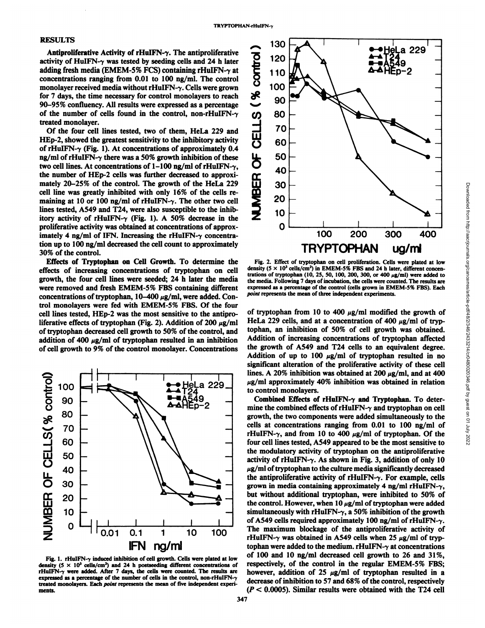#### **RESULTS**

activity of HuIFN- $\gamma$  was tested by seeding cells and 24 h later adding fresh media (EMEM-5% FCS) containing rHuIFN- $\gamma$  at concentrations ranging from 0.01 to 100 ng/ml. The control monolayer received media without rHuIFN- $\gamma$ . Cells were grown for 7 days, the time necessary for control monolayers to reach 90-95% confluency. All results were expressed as a percentage of the number of cells found in the control, non-rHuIFN- $\gamma$ treated monolayer.

Antiproliferative Activity of rHuIFN- $\gamma$ . The antiproliferative<br>tivity of HuIFN- $\gamma$  was tested by seeding cells and 24 h later<br>dding fresh media (EMEM-5% FCS) containing rHuIFN- $\gamma$  at<br>nocentrations ranging from 0.01 to Of the four cell lines tested, two of them, HeLa 229 and HEp-2, showed the greatest sensitivity to the inhibitory activity of rHuIFN- $\gamma$  (Fig. 1). At concentrations of approximately 0.4 ng/ml of rHuIFN- $\gamma$  there was a 50% growth inhibition of these two cell lines. At concentrations of  $1-100$  ng/ml of rHuIFN- $\gamma$ , the number of HEp-2 cells was further decreased to approxi mately 20-25% of the control. The growth of the HeLa 229 cell line was greatly inhibited with only 16% of thecells re maining at 10 or 100 ng/ml of rHuIFN- $\gamma$ . The other two cell lines tested, A549 and T24, were also susceptible to the inhib itory activity of rHuIFN- $\gamma$  (Fig. 1). A 50% decrease in the proliferative activity was obtained at concentrations of approx imately 4 ng/ml of IFN. Increasing the rHuIFN- $\gamma$  concentration up to 100 ng/ml decreased the cell count to approximately 30% of the control.

Effects of Tryptophan on Cell Growth. To determine the effects of increasing concentrations of tryptophan on cell growth, the four cell lines were seeded; 24 h later the media were removed and fresh EMEM-5% FBS containing different concentrations of tryptophan,  $10-400 \mu g/ml$ , were added. Control monolayers were fed with EMEM-5% FBS. Of the four cell lines tested, HEp-2 was the most sensitive to the antipro liferative effects of tryptophan (Fig. 2). Addition of 200  $\mu$ g/ml of tryptophan decreased cell growth to 50% of the control, and addition of 400  $\mu$ g/ml of tryptophan resulted in an inhibition of cell growth to 9% of the control monolayer. Concentrations



Fig. 1. rHuIFN- $\gamma$  induced inhibition of cell growth. Cells were plated at low density (5  $\times$  10<sup>3</sup> cells/cm<sup>2</sup>) and 24 h postseeding different concentrations of rHuIFN- $\gamma$  were added. After 7 days, the cells were counted. The results are expressed as a percentage of the number of cells in the control, non-rHuIFNtreated monolayers. Each point represents the mean of five independent experi ments.



density ( $5 \times 10^3$  cells/cm<sup>2</sup>) in EMEM-5% FBS and 24 h later, different concentrations of tryptophan (10, 25, 50, 100, 200, 300, or 400  $\mu$ g/ml) were added to the media. Following 7 days of incubation, the cells were counted. The results are expressed as a percentage of the control (cells grown in EMEM-5% FBS). Each *point represents the mean of three independent experiments.*

**Fig. 2.** Effect of tryptophan on cell proliferation. Cells were plated at low<br>
Fig. 2. Effect of tryptophan on cell proliferation. Cells were plated at low<br>
neighbors of tryptophan on cell proliferation. Cells were plate of tryptophan from 10 to 400  $\mu$ g/ml modified the growth of HeLa 229 cells, and at a concentration of 400  $\mu$ g/ml of tryptophan, an inhibition of 50% of cell growth was obtained. Addition of increasing concentrations of tryptophan affected the growth of A549 and T24 cells to an equivalent degree. Addition of up to 100  $\mu$ g/ml of tryptophan resulted in no significant alteration of the proliferative activity of these cell lines. A 20% inhibition was obtained at 200  $\mu$ g/ml, and at 400  $\mu$ g/ml approximately 40% inhibition was obtained in relation to control monolayers.

Combined Effects of rHuIFN-7 and Tryptophan. To deter mine the combined effects of rHuIFN- $\gamma$  and tryptophan on cell growth, the two components were added simultaneously to the cells at concentrations ranging from 0.01 to 100 ng/ml of rHuIFN- $\gamma$ , and from 10 to 400  $\mu$ g/ml of tryptophan. Of the four cell lines tested, A549 appeared to be the most sensitive to the modulatory activity of tryptophan on the antiproliferative activity of rHuIFN- $\gamma$ . As shown in Fig. 3, addition of only 10  $\mu$ g/ml of tryptophan to the culture media significantly decreased the antiproliferative activity of rHuIFN- $\gamma$ . For example, cells grown in media containing approximately 4 ng/ml rHuIFN- $\gamma$ , but without additional tryptophan, were inhibited to 50% of the control. However, when  $10 \mu g/ml$  of tryptophan were added simultaneously with rHuIFN- $\gamma$ , a 50% inhibition of the growth of A549 cells required approximately 100 ng/ml of rHuIFN- $\gamma$ . The maximum blockage of the antiproliferative activity of rHuIFN- $\gamma$  was obtained in A549 cells when 25  $\mu$ g/ml of tryptophan were added to the medium. rHuIFN- $\gamma$  at concentrations of 100 and 10 ng/ml decreased cell growth to 26 and 31%, respectively, of the control in the regular EMEM-5% FBS; however, addition of 25  $\mu$ g/ml of tryptophan resulted in a decrease of inhibition to 57 and 68% of the control, respectively *(P < 0.0005). Similar results were obtained with the T24 cell*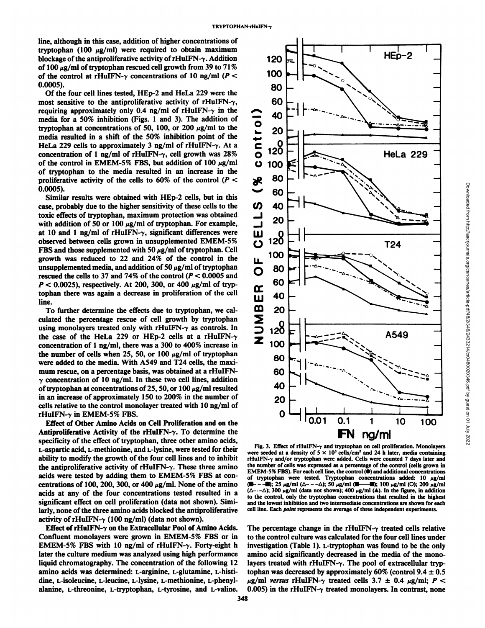line, although in this case, addition of higher concentrations of tryptophan (100  $\mu$ g/ml) were required to obtain maximum blockage of the antiproliferative activity of rHuIFN- $\gamma$ . Addition of 100  $\mu$ g/ml of tryptophan rescued cell growth from 39 to 71%<br>of the control at rHuIFN- $\alpha$  concentrations of 10 ng/ml (P <  $\sim$  100 of the control at rHuIFN- $\gamma$  concentrations of 10 ng/ml ( $P <$ 0.0005).

Of the four cell lines tested, HEp-2 and HeLa 229 were the most sensitive to the antiproliferative activity of rHuIFN- $\gamma$ , requiring approximately only 0.4 ng/ml of rHuIFN- $\gamma$  in the<br>media for a 50% inhibition (Figs. 1 and 3). The addition of<br>tryptophan at concentrations of 50, 100, or 200  $\mu$ g/ml to the<br>media resulted in a shift of the 50% media for a 50% inhibition (Figs. 1 and 3). The addition of tryptophan at concentrations of 50, 100, or 200  $\mu$ g/ml to the media resulted in a shift of the 50% inhibition point of the HeLa 229 cells to approximately 3 ng/ml of rHuIFN- $\gamma$ . At a HeLa 229 cells to approximately 3 ng/ml of rHuIFN- $\gamma$ . At a concentration of 1 ng/ml of rHuIFN- $\gamma$ , cell growth was 28% 0 120 of the control in EMEM-5% FBS, but addition of 100  $\mu$ g/ml of tryptophan to the media resulted in an increase in the proliferative activity of the cells to 60% of the control  $(P < \aleph$ proliferative activity of the cells to 60% of the control  $(P <$ 0.0005).

Similar results were obtained with HEp-2 cells, but in this case, probably due to the higher sensitivity of these cells to the  $\bullet$ toxic effects of tryptophan, maximum protection was obtained<br>with addition of 50 or 100  $\mu$ g/ml of tryptophan. For example,<br>at 10 and 1 ng/ml of rHuIFN- $\gamma$ , significant differences were<br>observed between cells grown in u with addition of 50 or 100  $\mu$ g/ml of tryptophan. For example, at 10 and 1 ng/ml of rHuIFN- $\gamma$ , significant differences were at 10 and 1 ng/ml of rHuIFN- $\gamma$ , significant differences were  $\Box$  0<br>observed between cells grown in unsupplemented EMEM-5% () 120 FBS and those supplemented with 50  $\mu$ g/ml of tryptophan. Cell growth was reduced to 22 and 24% of the control in the unsupplemented media, and addition of 50  $\mu$ g/ml of tryptophan<br>measured the sells to 27 and 74% of the control ( $P < 0.0005$  and rescued the cells to 37 and 74% of the control  $(P < 0.0005$  and tophan there was again a decrease in proliferation of the cell line.

*P* < 0.0025), respectively. At 200, 300, or 400  $\mu$ g/ml of tryptophan there was again a decrease in proliferation of the cell<br>line.<br>To further determine the effects due to tryptophan, we cal-<br>culated the percentage resc To further determine the effects due to tryptophan, we cal culated the percentage rescue of cell growth by tryptophan using monolayers treated only with rHuIFN- $\gamma$  as controls. In the case of the HeLa 229 or HEp-2 cells at a rHuIFN- $\gamma$ concentration of 1 ng/ml, there was a 300 to 400% increase in the number of cells when 25, 50, or 100  $\mu$ g/ml of tryptophan were added to the media. With A549 and T24 cells, the maxi mum rescue, on a percentage basis, was obtained at a rHuIFN- $\gamma$  concentration of 10 ng/ml. In these two cell lines, addition of tryptophan at concentrations of 25, 50, or 100  $\mu$ g/ml resulted in an increase of approximately 150 to 200% in the number of cells relative to the control monolayer treated with 10 ng/ml of rHuIFN- $\gamma$  in EMEM-5% FBS.

Effect of Other Amino Acids on Cell Proliferation and on the Antiproliferative Activity of the rHuIFN- $\gamma$ . To determine the specificity of the effect of tryptophan, three other amino acids, L-aspartic acid, L-methionine, and L-lysine, were tested for their ability to modify the growth of the four cell lines and to inhibit the antiproliferative activity of rHuIFN- $\gamma$ . These three amino acids were tested by adding them to EMEM-5% FBS at con centrations of 100, 200, 300, or 400  $\mu$ g/ml. None of the amino acids at any of the four concentrations tested resulted in a significant effect on cell proliferation (data not shown). Simi larly, none of the three amino acids blocked the antiproliferative activity of rHuIFN- $\gamma$  (100 ng/ml) (data not shown).

Effect of rHuIFN- $\gamma$  on the Extracellular Pool of Amino Acids. Confluent monolayers were grown in EMEM-5% FBS or in EMEM-5% FBS with 10 ng/ml of rHuIFN- $\gamma$ . Forty-eight h later the culture medium was analyzed using high performance liquid chromatography. The concentration of the following 12 amino acids was determined: L-arginine, L-glutamine, L-histidine, L-isoleucine, L-leucine, L-lysine, L-methionine, L-phenylalanine, L-threonine, L-tryptophan, L-tyrosine, and L-valine.



Fig. 3. Effect of rHuIFN- $\gamma$  and tryptophan on cell proliferation. Monolayers were seeded at a density of  $5 \times 10^3$  cells/cm<sup>2</sup> and 24 h later, media containing rHuIFN- $\gamma$  and/or tryptophan were added. Cells were counted 7 days later and the number of cells was expressed as a percentage of the control (cells grown in EMEM-5% FBS). For each cell line, the control  $(①)$  and additional concentrations of tryptophan were tested. Tryptophan concentrations added: 10  $\mu$ g/ml<br>(**E** - - **E**); 25  $\mu$ g/ml ( $\Delta$ - - $\Delta$ ); 50  $\mu$ g/ml (**E** - - **E**); 100  $\mu$ g/ml (O); 200  $\mu$ g/ml  $-$  -  $\blacksquare$ ); 25  $\mu$ g/ml ( $\Delta$ - - - $\Delta$ ); 50  $\mu$ g/ml ( $\blacksquare$ - $(\Delta$ --- $\Delta)$ ; 300  $\mu$ g/ml (data not shown); 400  $\mu$ g/ml (A). In the figure, in addition to the control, only the tryptophan concentrations that resulted in the highest and the lowest inhibition and two intermediate concentrations are shown for each cell line. Each point represents the average of three independent experiments.

The percentage change in the rHuIFN- $\gamma$  treated cells relative to the control culture was calculated for the four cell lines under investigation (Table 1). L-tryptophan was found to be the only amino acid significantly decreased in the media of the monolayers treated with rHuIFN- $\gamma$ . The pool of extracellular tryptophan was decreased by approximately 60% (control  $9.4 \pm 0.5$  $\mu$ g/ml versus rHuIFN- $\gamma$  treated cells 3.7  $\pm$  0.4  $\mu$ g/ml; P < 0.005) in the rHuIFN- $\gamma$  treated monolayers. In contrast, none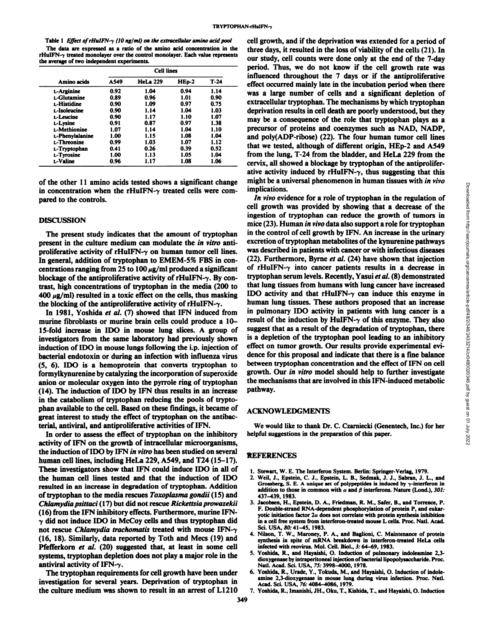Table 1 Effect of rHuIFN- $\gamma$  (10 ng/ml) on the extracellular amino acid pool The data are expressed as a ratio of the amino acid concentration in the rHuIFN- $\gamma$  treated monolayer over the control monolayer. Each value represents the average of two independent experiments.

| Amino acids      | <b>Cell lines</b> |                 |           |        |
|------------------|-------------------|-----------------|-----------|--------|
|                  | A549              | <b>HeLa 229</b> | $HED - 2$ | $T-24$ |
| L-Arginine       | 0.92              | 1.04            | 0.94      | 1.14   |
| L-Glutamine      | 0.89              | 0.96            | 1.01      | 0.90   |
| L-Histidine      | 0.90              | 1.09            | 0.97      | 0.75   |
| L-Isoleucine     | 0.90              | 1.14            | 1.04      | 1.03   |
| <b>L-Leucine</b> | 0.90              | 1.17            | 1.10      | 1.07   |
| L-Lysine         | 0.91              | 0.87            | 0.97      | 1.38   |
| L-Methionine     | 1.07              | 1.14            | 1.04      | 1.10   |
| L-Phenylalanine  | 1.00              | 1.15            | 1.08      | 1.04   |
| L-Threonine      | 0.99              | 1.03            | 1.07      | 1.12   |
| L-Tryptophan     | 0.41              | 0.26            | 0.39      | 0.52   |
| L-Tyrosine       | 1.00              | 1.13            | 1.05      | 1.04   |
| L-Valine         | 0.96              | 1.17            | 1.08      | 1.06   |

of the other 11 amino acids tested shows a significant change in concentration when the rHuIFN- $\gamma$  treated cells were compared to the controls.

#### **DISCUSSION**

The present study indicates that the amount of tryptophan present in the culture medium can modulate the *in vitro* antiproliferative activity of rHuIFN- $\gamma$  on human tumor cell lines. In general, addition of tryptophan to EMEM-5% FBS in con centrations ranging from 25 to 100  $\mu$ g/ml produced a significant blockage of the antiproliferative activity of rHuIFN- $\gamma$ . By contrast, high concentrations of tryptophan in the media (200 to  $400 \mu g/ml$  resulted in a toxic effect on the cells, thus masking the blocking of the antiproliferative activity of rHuIFN- $\gamma$ .

In 1981, Yoshida et al. (7) showed that IFN induced from murine fibroblasts or murine brain cells could produce a 10- 15-fold increase in IDO in mouse lung slices. A group of investigators from the same laboratory had previously shown induction of IDO in mouse lungs following the i.p. injection of bacterial endotoxin or during an infection with influenza virus (5, 6). IDO is a hemoprotein that converts tryptophan to formylkynurenine by catalyzing the incorporation of Superoxide anion or molecular oxygen into the pyrrole ring of tryptophan (14). The induction of IDO by IFN thus results in an increase in the catabolism of tryptophan reducing the pools of trypto phan available to the cell. Based on these findings, it became of great interest to study the effect of tryptophan on the antibac terial, antiviral, and antiproliferative activities of IFN.

In order to assess the effect of tryptophan on the inhibitory activity of IFN on the growth of intracellular microorganisms, the induction of IDO by IFN in vitro has been studied on several human cell lines, including HeLa 229, A549, and T24 (15-17). These investigators show that IFN could induce IDO in all of the human cell lines tested and that the induction of IDO resulted in an increase in degradation of tryptophan. Addition of tryptophan to the media rescues Toxoplasma gondii (15) and *Chlamydia psittaci (17) but did not rescue Rickettsia prowazekii* (16) from the IFN inhibitory effects. Furthermore, murine IFN*y did notinduce IDO in McCoy cells and thus tryptophan did* not rescue *Chlamydia trachomatis* treated with mouse IFN- $\gamma$ (16, 18). Similarly, data reported by Toth and Mees (19) and Pfefferkorn et al. (20) suggested that, at least in some cell systems, tryptophan depletion does not play a major role in the antiviral activity of IFN- $\gamma$ .

The tryptophan requirements for cell growth have been under investigation for several years. Deprivation of tryptophan in the culture medium was shown to result in an arrest of LI210

L-Arginine  $0.92$   $1.04$   $0.94$   $1.14$  was a large number of cells and a significant depletion of  $(0.99 \t 1.03 \t 1.07 \t 1.12 \t 1.12 \t 1.14 \t 0.26 \t 0.39 \t 0.52 \t 1.14 \t 0.26 \t 0.39 \t 0.52$ cell growth, and if the deprivation was extended for a period of three days, it resulted in the loss of viability of the cells  $(21)$ . In our study, cell counts were done only at the end of the 7-day period. Thus, we do not know if the cell growth rate was influenced throughout the 7 days or if the antiproliferative effect occurred mainly late in the incubation period when there extracellular tryptophan. The mechanisms by which tryptophan deprivation results in cell death are poorly understood, but they may be a consequence of the role that tryptophan plays as a precursor of proteins and coenzymes such as NAD, NADP, and poly(ADP-ribose) (22). The four human tumor cell lines from the lung, T-24 from the bladder, and HeLa 229 from the cervix, all showed a blockage by tryptophan of the antiprolifer ative activity induced by rHuIFN- $\gamma$ , thus suggesting that this implications.

might be a universal phenomenon in human tissues with *in vivo*<br>
implications.<br>
In wivo evidence for a role of tryptophan in the regulation of<br>
cell growth was provided by showing that a decrease of the<br>
imice (23). Human *In vivo evidence for a role of tryptophan in the regulation of* cell growth was provided by showing that a decrease of the ingestion of tryptophan can reduce the growth of tumors in mice (23). Human in vivo data also support a role for tryptophan in the control of cell growth by IFN. An increase in the urinary excretion of tryptophan metabolites of the kynurenine pathways was described in patients with cancer or with infectious diseases (22). Furthermore, Byrne et al. (24) have shown that injection of rHuIFN- $\gamma$  into cancer patients results in a decrease in tryptophan serum levels. Recently, Yasui et al. (8) demonstrated that lung tissues from humans with lung cancer have increased IDO activity and that rHuIFN- $\gamma$  can induce this enzyme in human lung tissues. These authors proposed that an increase in pulmonary IDO activity in patients with lung cancer is a result of the induction by HuIFN- $\gamma$  of this enzyme. They also suggest that as a result of the degradation of tryptophan, there is a depletion of the tryptophan pool leading to an inhibitory effect on tumor growth. Our results provide experimental evi dence for this proposal and indicate that there is a Tine balance between tryptophan concentration and the effect of IFN on cell growth. Our in vitro model should help to further investigate the mechanisms that are involved in this IFN-induced metabolic pathway.

## ACKNOWLEDGMENTS

We would like to thank Dr.C. Czarniecki (Genentech, Inc.) for her helpful suggestions in the preparation of this paper.

#### **REFERENCES**

- 1. Stewart, W. E. The Interferon System. Berlin: Springer-Verlag, 1979.
- 2. Weil, J., Epstein, C. J., Epstein, L. B., Sedmak, J. J., Sabran, J. L., and Grossberg, S. E. A unique set of polypeptides is induced by  $\gamma$ -interferon in addition to those in common with  $\alpha$  and  $\beta$  interferons. Nature (Lond.), 301: 437-439, 1983.
- 3. Jacobsen, H., Epstein, D. A., Friedman, R. M., Safer, B., and Torrence, P. F. Double-strand RNA-dependent phosphorylation of protein P, and eukaryotic initiation factor  $2\alpha$  does not correlate with protein synthesis inhibition in a cell free system from interferon-treated mouse L cells. Proc. Nati. Acad. Sci. USA, 80: 41-45, 1983.
- 4. Nilson, T. W., Maroney, P. A., and Baglioni, C. Maintenance of protein synthesis in spite of mRNA breakdown in interferon-treated HeLa cells infected with reovirus. Mol. Cell. Bio!., 3:64-69, 1983.
- 5. Yoshida, R., and Hayaishi, O. Induction of pulmonary indoleamine 2,3 dioxygenase by intraperitoneal injection of bacterial lipopolysaccharide. Proc. Nati. Acad. Sci. USA, 75: 3998-4000, 1978.
- 6. Yoshida, R., Urade, Y., Tokuda, M., and Hayaishi, O. Induction of indole amine 2,3-dioxygenase in mouse lung during virus infection. Proc. Nati. Acad. Sci. USA, 76:4084-4086, 1979.
- 7. Yoshida, R., Imanishi, JH., Oku, T., Kishida, T., and Hayaishi, O. Induction